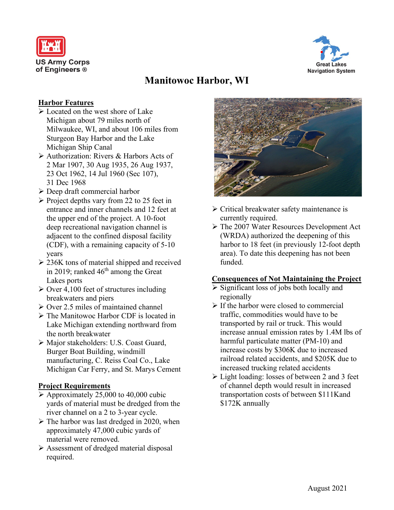



# **Manitowoc Harbor, WI**

## **Harbor Features**

- $\triangleright$  Located on the west shore of Lake Michigan about 79 miles north of Milwaukee, WI, and about 106 miles from Sturgeon Bay Harbor and the Lake Michigan Ship Canal
- Authorization: Rivers & Harbors Acts of 2 Mar 1907, 30 Aug 1935, 26 Aug 1937, 23 Oct 1962, 14 Jul 1960 (Sec 107), 31 Dec 1968
- Deep draft commercial harbor
- $\triangleright$  Project depths vary from 22 to 25 feet in entrance and inner channels and 12 feet at the upper end of the project. A 10-foot deep recreational navigation channel is adjacent to the confined disposal facility (CDF), with a remaining capacity of 5-10 years
- $\geq$  236K tons of material shipped and received in 2019; ranked  $46<sup>th</sup>$  among the Great Lakes ports
- $\geq$  Over 4,100 feet of structures including breakwaters and piers
- $\geq$  Over 2.5 miles of maintained channel
- The Manitowoc Harbor CDF is located in Lake Michigan extending northward from the north breakwater
- Major stakeholders: U.S. Coast Guard, Burger Boat Building, windmill manufacturing, C. Reiss Coal Co., Lake Michigan Car Ferry, and St. Marys Cement

### **Project Requirements**

- $\triangleright$  Approximately 25,000 to 40,000 cubic yards of material must be dredged from the river channel on a 2 to 3-year cycle.
- $\triangleright$  The harbor was last dredged in 2020, when approximately 47,000 cubic yards of material were removed.
- Assessment of dredged material disposal required.



- $\triangleright$  Critical breakwater safety maintenance is currently required.
- The 2007 Water Resources Development Act (WRDA) authorized the deepening of this harbor to 18 feet (in previously 12-foot depth area). To date this deepening has not been funded.

### **Consequences of Not Maintaining the Project**

- $\triangleright$  Significant loss of jobs both locally and regionally
- $\triangleright$  If the harbor were closed to commercial traffic, commodities would have to be transported by rail or truck. This would increase annual emission rates by 1.4M lbs of harmful particulate matter (PM-10) and increase costs by \$306K due to increased railroad related accidents, and \$205K due to increased trucking related accidents
- $\triangleright$  Light loading: losses of between 2 and 3 feet of channel depth would result in increased transportation costs of between \$111Kand \$172K annually